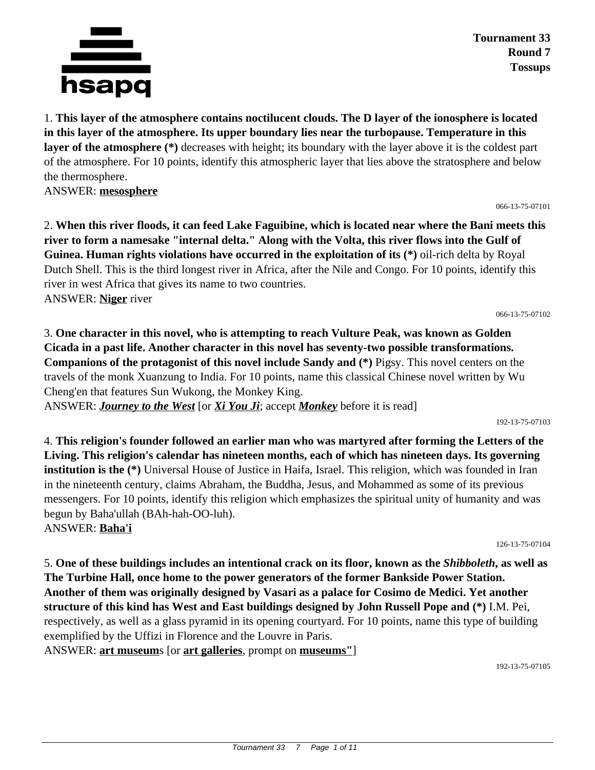

**Tournament 33 Round 7 Tossups**

1. **This layer of the atmosphere contains noctilucent clouds. The D layer of the ionosphere is located in this layer of the atmosphere. Its upper boundary lies near the turbopause. Temperature in this layer of the atmosphere (\*)** decreases with height; its boundary with the layer above it is the coldest part of the atmosphere. For 10 points, identify this atmospheric layer that lies above the stratosphere and below the thermosphere.

ANSWER: **mesosphere**

066-13-75-07101

2. **When this river floods, it can feed Lake Faguibine, which is located near where the Bani meets this river to form a namesake "internal delta." Along with the Volta, this river flows into the Gulf of Guinea. Human rights violations have occurred in the exploitation of its (\*)** oil-rich delta by Royal Dutch Shell. This is the third longest river in Africa, after the Nile and Congo. For 10 points, identify this river in west Africa that gives its name to two countries. ANSWER: **Niger** river

066-13-75-07102

192-13-75-07103

3. **One character in this novel, who is attempting to reach Vulture Peak, was known as Golden Cicada in a past life. Another character in this novel has seventy-two possible transformations. Companions of the protagonist of this novel include Sandy and (\*)** Pigsy. This novel centers on the travels of the monk Xuanzung to India. For 10 points, name this classical Chinese novel written by Wu Cheng'en that features Sun Wukong, the Monkey King.

ANSWER: *Journey to the West* [or *Xi You Ji*; accept *Monkey* before it is read]

4. **This religion's founder followed an earlier man who was martyred after forming the Letters of the Living. This religion's calendar has nineteen months, each of which has nineteen days. Its governing institution is the (\*)** Universal House of Justice in Haifa, Israel. This religion, which was founded in Iran in the nineteenth century, claims Abraham, the Buddha, Jesus, and Mohammed as some of its previous messengers. For 10 points, identify this religion which emphasizes the spiritual unity of humanity and was begun by Baha'ullah (BAh-hah-OO-luh). ANSWER: **Baha'i**

126-13-75-07104

5. **One of these buildings includes an intentional crack on its floor, known as the** *Shibboleth***, as well as The Turbine Hall, once home to the power generators of the former Bankside Power Station. Another of them was originally designed by Vasari as a palace for Cosimo de Medici. Yet another structure of this kind has West and East buildings designed by John Russell Pope and (\*)** I.M. Pei, respectively, as well as a glass pyramid in its opening courtyard. For 10 points, name this type of building exemplified by the Uffizi in Florence and the Louvre in Paris. ANSWER: **art museum**s [or **art galleries**, prompt on **museums"**]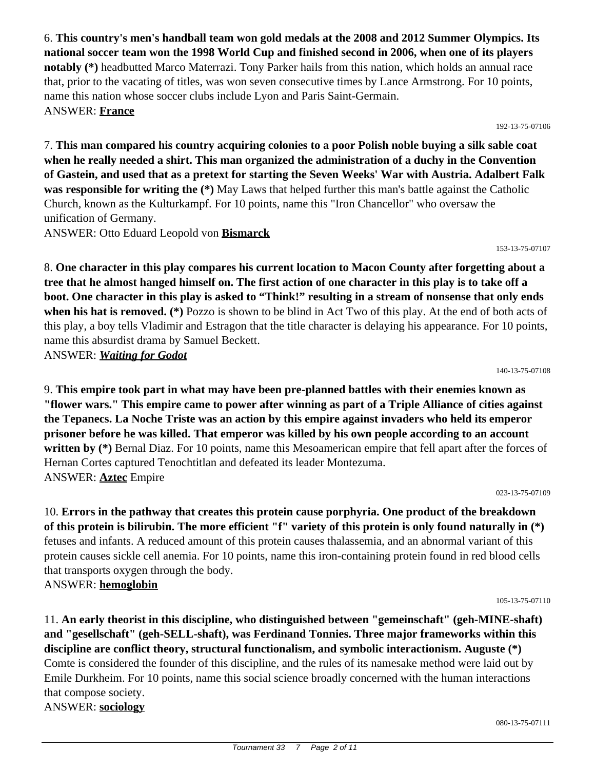6. **This country's men's handball team won gold medals at the 2008 and 2012 Summer Olympics. Its national soccer team won the 1998 World Cup and finished second in 2006, when one of its players notably (\*)** headbutted Marco Materrazi. Tony Parker hails from this nation, which holds an annual race that, prior to the vacating of titles, was won seven consecutive times by Lance Armstrong. For 10 points, name this nation whose soccer clubs include Lyon and Paris Saint-Germain. ANSWER: **France**

192-13-75-07106

7. **This man compared his country acquiring colonies to a poor Polish noble buying a silk sable coat when he really needed a shirt. This man organized the administration of a duchy in the Convention of Gastein, and used that as a pretext for starting the Seven Weeks' War with Austria. Adalbert Falk was responsible for writing the (\*)** May Laws that helped further this man's battle against the Catholic Church, known as the Kulturkampf. For 10 points, name this "Iron Chancellor" who oversaw the unification of Germany.

ANSWER: Otto Eduard Leopold von **Bismarck**

153-13-75-07107

8. **One character in this play compares his current location to Macon County after forgetting about a tree that he almost hanged himself on. The first action of one character in this play is to take off a boot. One character in this play is asked to "Think!" resulting in a stream of nonsense that only ends when his hat is removed. (\*)** Pozzo is shown to be blind in Act Two of this play. At the end of both acts of this play, a boy tells Vladimir and Estragon that the title character is delaying his appearance. For 10 points, name this absurdist drama by Samuel Beckett. ANSWER: *Waiting for Godot*

140-13-75-07108

9. **This empire took part in what may have been pre-planned battles with their enemies known as "flower wars." This empire came to power after winning as part of a Triple Alliance of cities against the Tepanecs. La Noche Triste was an action by this empire against invaders who held its emperor prisoner before he was killed. That emperor was killed by his own people according to an account** written by (\*) Bernal Diaz. For 10 points, name this Mesoamerican empire that fell apart after the forces of Hernan Cortes captured Tenochtitlan and defeated its leader Montezuma. ANSWER: **Aztec** Empire

023-13-75-07109

10. **Errors in the pathway that creates this protein cause porphyria. One product of the breakdown of this protein is bilirubin. The more efficient "f" variety of this protein is only found naturally in (\*)** fetuses and infants. A reduced amount of this protein causes thalassemia, and an abnormal variant of this protein causes sickle cell anemia. For 10 points, name this iron-containing protein found in red blood cells that transports oxygen through the body. ANSWER: **hemoglobin**

105-13-75-07110

11. **An early theorist in this discipline, who distinguished between "gemeinschaft" (geh-MINE-shaft) and "gesellschaft" (geh-SELL-shaft), was Ferdinand Tonnies. Three major frameworks within this discipline are conflict theory, structural functionalism, and symbolic interactionism. Auguste (\*)** Comte is considered the founder of this discipline, and the rules of its namesake method were laid out by Emile Durkheim. For 10 points, name this social science broadly concerned with the human interactions that compose society. ANSWER: **sociology**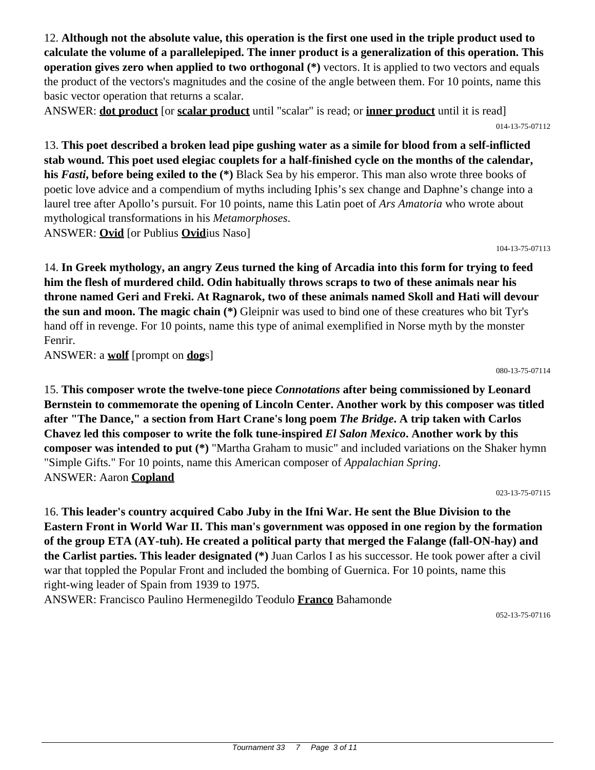12. **Although not the absolute value, this operation is the first one used in the triple product used to calculate the volume of a parallelepiped. The inner product is a generalization of this operation. This operation gives zero when applied to two orthogonal (\*)** vectors. It is applied to two vectors and equals the product of the vectors's magnitudes and the cosine of the angle between them. For 10 points, name this basic vector operation that returns a scalar.

ANSWER: **dot product** [or **scalar product** until "scalar" is read; or **inner product** until it is read] 014-13-75-07112

13. **This poet described a broken lead pipe gushing water as a simile for blood from a self-inflicted stab wound. This poet used elegiac couplets for a half-finished cycle on the months of the calendar, his** *Fasti***, before being exiled to the (\*)** Black Sea by his emperor. This man also wrote three books of poetic love advice and a compendium of myths including Iphis's sex change and Daphne's change into a laurel tree after Apollo's pursuit. For 10 points, name this Latin poet of *Ars Amatoria* who wrote about mythological transformations in his *Metamorphoses*. ANSWER: **Ovid** [or Publius **Ovid**ius Naso]

104-13-75-07113

14. **In Greek mythology, an angry Zeus turned the king of Arcadia into this form for trying to feed him the flesh of murdered child. Odin habitually throws scraps to two of these animals near his throne named Geri and Freki. At Ragnarok, two of these animals named Skoll and Hati will devour the sun and moon. The magic chain (\*)** Gleipnir was used to bind one of these creatures who bit Tyr's hand off in revenge. For 10 points, name this type of animal exemplified in Norse myth by the monster Fenrir.

ANSWER: a **wolf** [prompt on **dog**s]

080-13-75-07114

15. **This composer wrote the twelve-tone piece** *Connotations* **after being commissioned by Leonard Bernstein to commemorate the opening of Lincoln Center. Another work by this composer was titled after "The Dance," a section from Hart Crane's long poem** *The Bridge***. A trip taken with Carlos Chavez led this composer to write the folk tune-inspired** *El Salon Mexico***. Another work by this composer was intended to put (\*)** "Martha Graham to music" and included variations on the Shaker hymn "Simple Gifts." For 10 points, name this American composer of *Appalachian Spring*. ANSWER: Aaron **Copland**

023-13-75-07115

16. **This leader's country acquired Cabo Juby in the Ifni War. He sent the Blue Division to the Eastern Front in World War II. This man's government was opposed in one region by the formation of the group ETA (AY-tuh). He created a political party that merged the Falange (fall-ON-hay) and the Carlist parties. This leader designated (\*)** Juan Carlos I as his successor. He took power after a civil war that toppled the Popular Front and included the bombing of Guernica. For 10 points, name this right-wing leader of Spain from 1939 to 1975.

ANSWER: Francisco Paulino Hermenegildo Teodulo **Franco** Bahamonde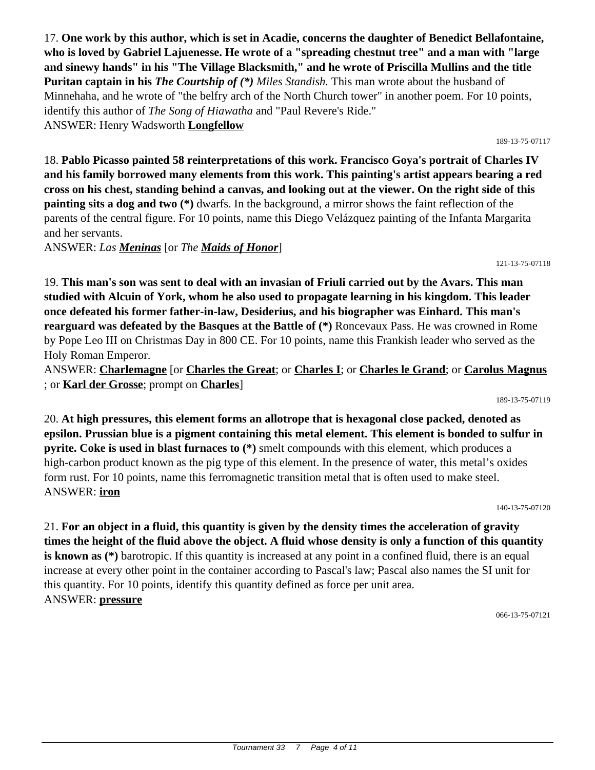17. **One work by this author, which is set in Acadie, concerns the daughter of Benedict Bellafontaine, who is loved by Gabriel Lajuenesse. He wrote of a "spreading chestnut tree" and a man with "large and sinewy hands" in his "The Village Blacksmith," and he wrote of Priscilla Mullins and the title Puritan captain in his** *The Courtship of (\*) Miles Standish.* This man wrote about the husband of Minnehaha, and he wrote of "the belfry arch of the North Church tower" in another poem. For 10 points, identify this author of *The Song of Hiawatha* and "Paul Revere's Ride." ANSWER: Henry Wadsworth **Longfellow**

18. **Pablo Picasso painted 58 reinterpretations of this work. Francisco Goya's portrait of Charles IV and his family borrowed many elements from this work. This painting's artist appears bearing a red cross on his chest, standing behind a canvas, and looking out at the viewer. On the right side of this painting sits a dog and two (\*)** dwarfs. In the background, a mirror shows the faint reflection of the parents of the central figure. For 10 points, name this Diego Velázquez painting of the Infanta Margarita and her servants.

ANSWER: *Las Meninas* [or *The Maids of Honor*]

19. **This man's son was sent to deal with an invasian of Friuli carried out by the Avars. This man studied with Alcuin of York, whom he also used to propagate learning in his kingdom. This leader once defeated his former father-in-law, Desiderius, and his biographer was Einhard. This man's rearguard was defeated by the Basques at the Battle of (\*)** Roncevaux Pass. He was crowned in Rome by Pope Leo III on Christmas Day in 800 CE. For 10 points, name this Frankish leader who served as the Holy Roman Emperor.

ANSWER: **Charlemagne** [or **Charles the Great**; or **Charles I**; or **Charles le Grand**; or **Carolus Magnus** ; or **Karl der Grosse**; prompt on **Charles**]

189-13-75-07119

20. **At high pressures, this element forms an allotrope that is hexagonal close packed, denoted as epsilon. Prussian blue is a pigment containing this metal element. This element is bonded to sulfur in pyrite. Coke is used in blast furnaces to (\*)** smelt compounds with this element, which produces a high-carbon product known as the pig type of this element. In the presence of water, this metal's oxides form rust. For 10 points, name this ferromagnetic transition metal that is often used to make steel. ANSWER: **iron**

140-13-75-07120

21. **For an object in a fluid, this quantity is given by the density times the acceleration of gravity times the height of the fluid above the object. A fluid whose density is only a function of this quantity is known as** (\*) barotropic. If this quantity is increased at any point in a confined fluid, there is an equal increase at every other point in the container according to Pascal's law; Pascal also names the SI unit for this quantity. For 10 points, identify this quantity defined as force per unit area. ANSWER: **pressure**

066-13-75-07121

#### 189-13-75-07117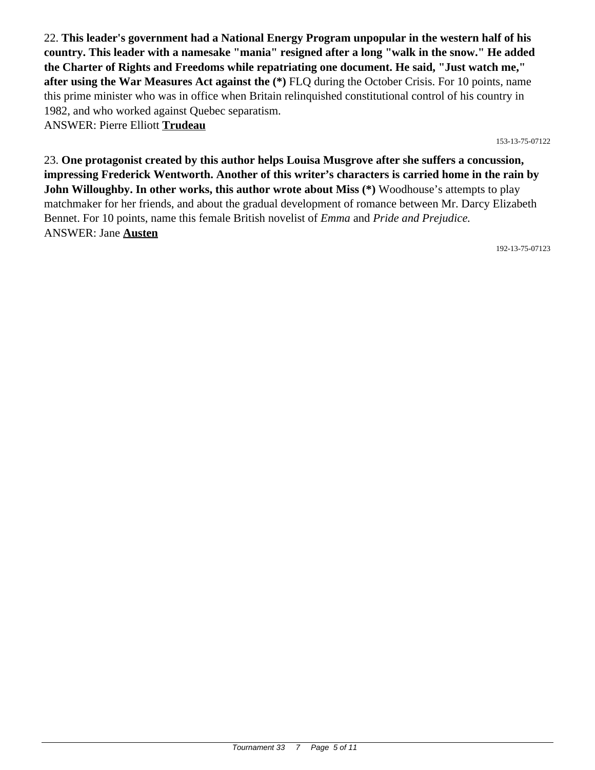22. **This leader's government had a National Energy Program unpopular in the western half of his country. This leader with a namesake "mania" resigned after a long "walk in the snow." He added the Charter of Rights and Freedoms while repatriating one document. He said, "Just watch me," after using the War Measures Act against the (\*)** FLQ during the October Crisis. For 10 points, name this prime minister who was in office when Britain relinquished constitutional control of his country in 1982, and who worked against Quebec separatism. ANSWER: Pierre Elliott **Trudeau**

153-13-75-07122

23. **One protagonist created by this author helps Louisa Musgrove after she suffers a concussion, impressing Frederick Wentworth. Another of this writer's characters is carried home in the rain by John Willoughby. In other works, this author wrote about Miss (\*)** Woodhouse's attempts to play matchmaker for her friends, and about the gradual development of romance between Mr. Darcy Elizabeth Bennet. For 10 points, name this female British novelist of *Emma* and *Pride and Prejudice.* ANSWER: Jane **Austen**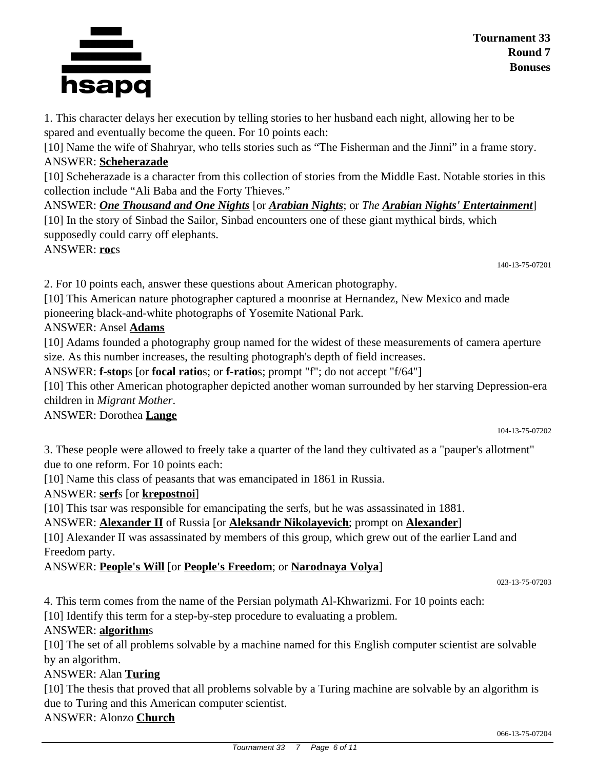#### **Tournament 33 Round 7 Bonuses**

1. This character delays her execution by telling stories to her husband each night, allowing her to be spared and eventually become the queen. For 10 points each:

[10] Name the wife of Shahryar, who tells stories such as "The Fisherman and the Jinni" in a frame story. ANSWER: **Scheherazade**

[10] Scheherazade is a character from this collection of stories from the Middle East. Notable stories in this collection include "Ali Baba and the Forty Thieves."

ANSWER: *One Thousand and One Nights* [or *Arabian Nights*; or *The Arabian Nights' Entertainment*] [10] In the story of Sinbad the Sailor, Sinbad encounters one of these giant mythical birds, which supposedly could carry off elephants.

ANSWER: **roc**s

140-13-75-07201

2. For 10 points each, answer these questions about American photography.

[10] This American nature photographer captured a moonrise at Hernandez, New Mexico and made pioneering black-and-white photographs of Yosemite National Park.

### ANSWER: Ansel **Adams**

[10] Adams founded a photography group named for the widest of these measurements of camera aperture size. As this number increases, the resulting photograph's depth of field increases.

ANSWER: **f-stop**s [or **focal ratio**s; or **f-ratio**s; prompt "f"; do not accept "f/64"]

[10] This other American photographer depicted another woman surrounded by her starving Depression-era children in *Migrant Mother*.

#### ANSWER: Dorothea **Lange**

104-13-75-07202

3. These people were allowed to freely take a quarter of the land they cultivated as a "pauper's allotment" due to one reform. For 10 points each:

[10] Name this class of peasants that was emancipated in 1861 in Russia.

### ANSWER: **serf**s [or **krepostnoi**]

[10] This tsar was responsible for emancipating the serfs, but he was assassinated in 1881.

### ANSWER: **Alexander II** of Russia [or **Aleksandr Nikolayevich**; prompt on **Alexander**]

[10] Alexander II was assassinated by members of this group, which grew out of the earlier Land and Freedom party.

### ANSWER: **People's Will** [or **People's Freedom**; or **Narodnaya Volya**]

023-13-75-07203

4. This term comes from the name of the Persian polymath Al-Khwarizmi. For 10 points each:

[10] Identify this term for a step-by-step procedure to evaluating a problem.

#### ANSWER: **algorithm**s

[10] The set of all problems solvable by a machine named for this English computer scientist are solvable by an algorithm.

#### ANSWER: Alan **Turing**

[10] The thesis that proved that all problems solvable by a Turing machine are solvable by an algorithm is due to Turing and this American computer scientist.

### ANSWER: Alonzo **Church**

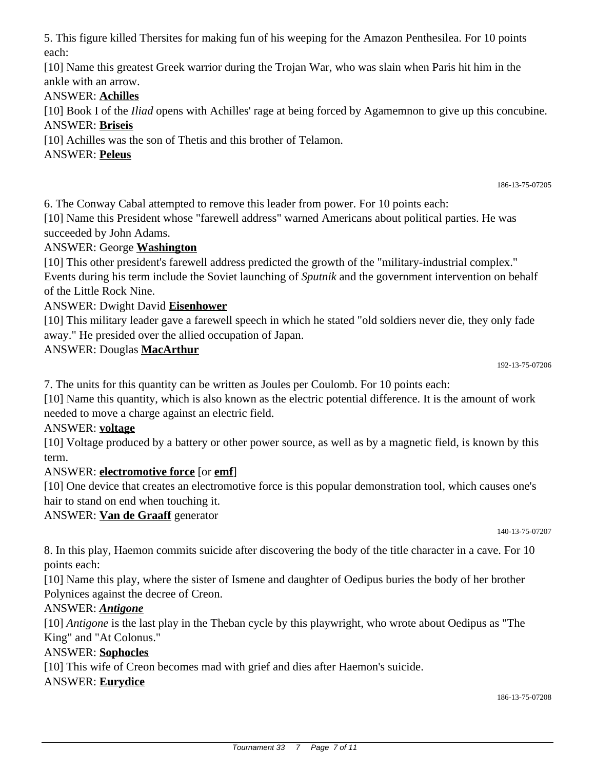5. This figure killed Thersites for making fun of his weeping for the Amazon Penthesilea. For 10 points each:

[10] Name this greatest Greek warrior during the Trojan War, who was slain when Paris hit him in the ankle with an arrow.

# ANSWER: **Achilles**

[10] Book I of the *Iliad* opens with Achilles' rage at being forced by Agamemnon to give up this concubine. ANSWER: **Briseis**

[10] Achilles was the son of Thetis and this brother of Telamon.

# ANSWER: **Peleus**

6. The Conway Cabal attempted to remove this leader from power. For 10 points each:

[10] Name this President whose "farewell address" warned Americans about political parties. He was succeeded by John Adams.

# ANSWER: George **Washington**

[10] This other president's farewell address predicted the growth of the "military-industrial complex." Events during his term include the Soviet launching of *Sputnik* and the government intervention on behalf of the Little Rock Nine.

# ANSWER: Dwight David **Eisenhower**

[10] This military leader gave a farewell speech in which he stated "old soldiers never die, they only fade away." He presided over the allied occupation of Japan.

# ANSWER: Douglas **MacArthur**

186-13-75-07205

7. The units for this quantity can be written as Joules per Coulomb. For 10 points each:

[10] Name this quantity, which is also known as the electric potential difference. It is the amount of work needed to move a charge against an electric field.

### ANSWER: **voltage**

[10] Voltage produced by a battery or other power source, as well as by a magnetic field, is known by this term.

# ANSWER: **electromotive force** [or **emf**]

[10] One device that creates an electromotive force is this popular demonstration tool, which causes one's hair to stand on end when touching it.

### ANSWER: **Van de Graaff** generator

140-13-75-07207

8. In this play, Haemon commits suicide after discovering the body of the title character in a cave. For 10 points each:

[10] Name this play, where the sister of Ismene and daughter of Oedipus buries the body of her brother Polynices against the decree of Creon.

### ANSWER: *Antigone*

[10] *Antigone* is the last play in the Theban cycle by this playwright, who wrote about Oedipus as "The King" and "At Colonus."

### ANSWER: **Sophocles**

[10] This wife of Creon becomes mad with grief and dies after Haemon's suicide.

### ANSWER: **Eurydice**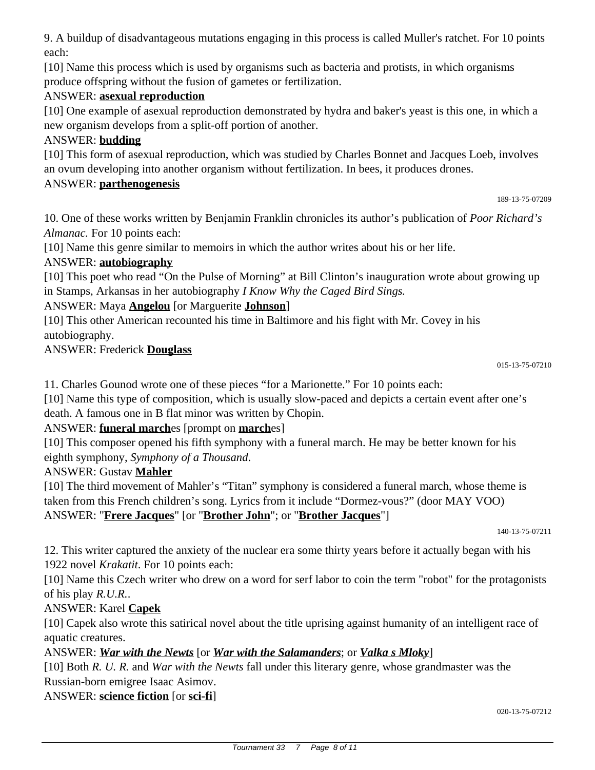9. A buildup of disadvantageous mutations engaging in this process is called Muller's ratchet. For 10 points each:

[10] Name this process which is used by organisms such as bacteria and protists, in which organisms produce offspring without the fusion of gametes or fertilization.

## ANSWER: **asexual reproduction**

[10] One example of asexual reproduction demonstrated by hydra and baker's yeast is this one, in which a new organism develops from a split-off portion of another.

## ANSWER: **budding**

[10] This form of asexual reproduction, which was studied by Charles Bonnet and Jacques Loeb, involves an ovum developing into another organism without fertilization. In bees, it produces drones.

#### ANSWER: **parthenogenesis**

189-13-75-07209

10. One of these works written by Benjamin Franklin chronicles its author's publication of *Poor Richard's Almanac.* For 10 points each:

[10] Name this genre similar to memoirs in which the author writes about his or her life.

### ANSWER: **autobiography**

[10] This poet who read "On the Pulse of Morning" at Bill Clinton's inauguration wrote about growing up in Stamps, Arkansas in her autobiography *I Know Why the Caged Bird Sings.*

### ANSWER: Maya **Angelou** [or Marguerite **Johnson**]

[10] This other American recounted his time in Baltimore and his fight with Mr. Covey in his autobiography.

ANSWER: Frederick **Douglass**

11. Charles Gounod wrote one of these pieces "for a Marionette." For 10 points each:

[10] Name this type of composition, which is usually slow-paced and depicts a certain event after one's death. A famous one in B flat minor was written by Chopin.

### ANSWER: **funeral march**es [prompt on **march**es]

[10] This composer opened his fifth symphony with a funeral march. He may be better known for his eighth symphony, *Symphony of a Thousand*.

#### ANSWER: Gustav **Mahler**

[10] The third movement of Mahler's "Titan" symphony is considered a funeral march, whose theme is taken from this French children's song. Lyrics from it include "Dormez-vous?" (door MAY VOO) ANSWER: "**Frere Jacques**" [or "**Brother John**"; or "**Brother Jacques**"]

140-13-75-07211

12. This writer captured the anxiety of the nuclear era some thirty years before it actually began with his 1922 novel *Krakatit*. For 10 points each:

[10] Name this Czech writer who drew on a word for serf labor to coin the term "robot" for the protagonists of his play *R.U.R.*.

### ANSWER: Karel **Capek**

[10] Capek also wrote this satirical novel about the title uprising against humanity of an intelligent race of aquatic creatures.

ANSWER: *War with the Newts* [or *War with the Salamanders*; or *Valka s Mloky*]

[10] Both *R. U. R.* and *War with the Newts* fall under this literary genre, whose grandmaster was the Russian-born emigree Isaac Asimov.

ANSWER: **science fiction** [or **sci-fi**]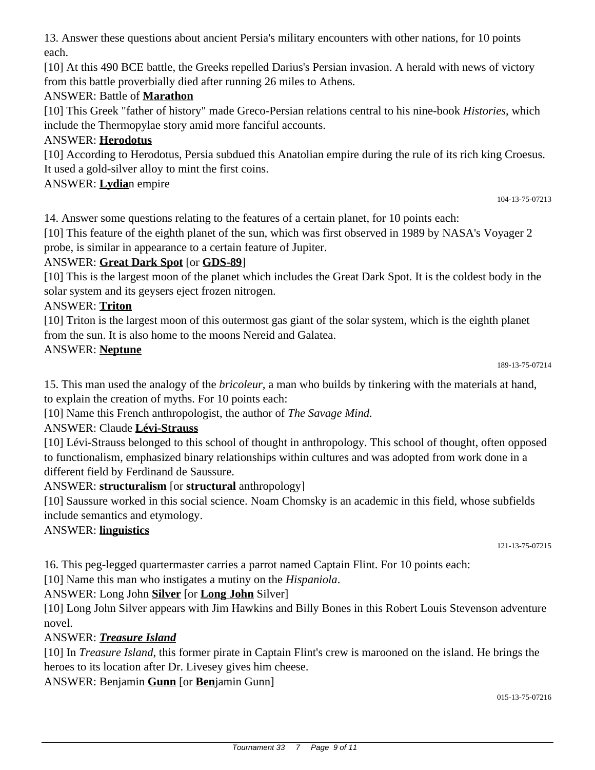13. Answer these questions about ancient Persia's military encounters with other nations, for 10 points each.

[10] At this 490 BCE battle, the Greeks repelled Darius's Persian invasion. A herald with news of victory from this battle proverbially died after running 26 miles to Athens.

# ANSWER: Battle of **Marathon**

[10] This Greek "father of history" made Greco-Persian relations central to his nine-book *Histories*, which include the Thermopylae story amid more fanciful accounts.

# ANSWER: **Herodotus**

[10] According to Herodotus, Persia subdued this Anatolian empire during the rule of its rich king Croesus. It used a gold-silver alloy to mint the first coins.

ANSWER: **Lydia**n empire

14. Answer some questions relating to the features of a certain planet, for 10 points each:

[10] This feature of the eighth planet of the sun, which was first observed in 1989 by NASA's Voyager 2 probe, is similar in appearance to a certain feature of Jupiter.

### ANSWER: **Great Dark Spot** [or **GDS-89**]

[10] This is the largest moon of the planet which includes the Great Dark Spot. It is the coldest body in the solar system and its geysers eject frozen nitrogen.

#### ANSWER: **Triton**

[10] Triton is the largest moon of this outermost gas giant of the solar system, which is the eighth planet from the sun. It is also home to the moons Nereid and Galatea.

#### ANSWER: **Neptune**

104-13-75-07213

15. This man used the analogy of the *bricoleur,* a man who builds by tinkering with the materials at hand, to explain the creation of myths. For 10 points each:

[10] Name this French anthropologist, the author of *The Savage Mind.*

### ANSWER: Claude **Lévi-Strauss**

[10] Lévi-Strauss belonged to this school of thought in anthropology. This school of thought, often opposed to functionalism, emphasized binary relationships within cultures and was adopted from work done in a different field by Ferdinand de Saussure.

### ANSWER: **structuralism** [or **structural** anthropology]

[10] Saussure worked in this social science. Noam Chomsky is an academic in this field, whose subfields include semantics and etymology.

ANSWER: **linguistics**

121-13-75-07215

16. This peg-legged quartermaster carries a parrot named Captain Flint. For 10 points each:

[10] Name this man who instigates a mutiny on the *Hispaniola*.

### ANSWER: Long John **Silver** [or **Long John** Silver]

[10] Long John Silver appears with Jim Hawkins and Billy Bones in this Robert Louis Stevenson adventure novel.

### ANSWER: *Treasure Island*

[10] In *Treasure Island*, this former pirate in Captain Flint's crew is marooned on the island. He brings the heroes to its location after Dr. Livesey gives him cheese.

ANSWER: Benjamin **Gunn** [or **Ben**jamin Gunn]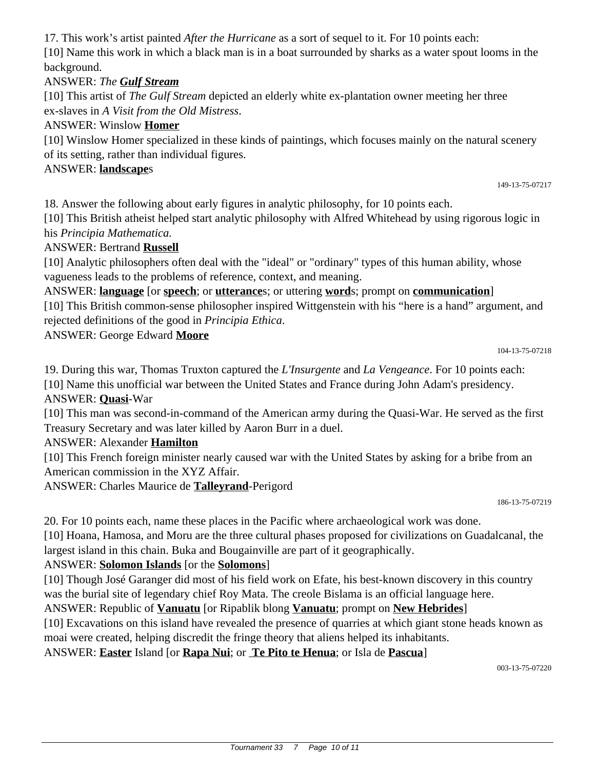Tournament 33 7 Page 10 of 11

17. This work's artist painted *After the Hurricane* as a sort of sequel to it. For 10 points each: [10] Name this work in which a black man is in a boat surrounded by sharks as a water spout looms in the background.

#### ANSWER: *The Gulf Stream*

[10] This artist of *The Gulf Stream* depicted an elderly white ex-plantation owner meeting her three ex-slaves in *A Visit from the Old Mistress*.

#### ANSWER: Winslow **Homer**

[10] Winslow Homer specialized in these kinds of paintings, which focuses mainly on the natural scenery of its setting, rather than individual figures.

#### ANSWER: **landscape**s

18. Answer the following about early figures in analytic philosophy, for 10 points each.

[10] This British atheist helped start analytic philosophy with Alfred Whitehead by using rigorous logic in his *Principia Mathematica.*

#### ANSWER: Bertrand **Russell**

[10] Analytic philosophers often deal with the "ideal" or "ordinary" types of this human ability, whose vagueness leads to the problems of reference, context, and meaning.

ANSWER: **language** [or **speech**; or **utterance**s; or uttering **word**s; prompt on **communication**]

[10] This British common-sense philosopher inspired Wittgenstein with his "here is a hand" argument, and rejected definitions of the good in *Principia Ethica*.

ANSWER: George Edward **Moore**

104-13-75-07218

149-13-75-07217

19. During this war, Thomas Truxton captured the *L'Insurgente* and *La Vengeance*. For 10 points each: [10] Name this unofficial war between the United States and France during John Adam's presidency. ANSWER: **Quasi**-War

[10] This man was second-in-command of the American army during the Quasi-War. He served as the first Treasury Secretary and was later killed by Aaron Burr in a duel.

#### ANSWER: Alexander **Hamilton**

[10] This French foreign minister nearly caused war with the United States by asking for a bribe from an American commission in the XYZ Affair.

ANSWER: Charles Maurice de **Talleyrand**-Perigord

186-13-75-07219

20. For 10 points each, name these places in the Pacific where archaeological work was done.

[10] Hoana, Hamosa, and Moru are the three cultural phases proposed for civilizations on Guadalcanal, the largest island in this chain. Buka and Bougainville are part of it geographically.

#### ANSWER: **Solomon Islands** [or the **Solomons**]

[10] Though José Garanger did most of his field work on Efate, his best-known discovery in this country was the burial site of legendary chief Roy Mata. The creole Bislama is an official language here.

#### ANSWER: Republic of **Vanuatu** [or Ripablik blong **Vanuatu**; prompt on **New Hebrides**]

[10] Excavations on this island have revealed the presence of quarries at which giant stone heads known as moai were created, helping discredit the fringe theory that aliens helped its inhabitants.

#### ANSWER: **Easter** Island [or **Rapa Nui**; or **Te Pito te Henua**; or Isla de **Pascua**]